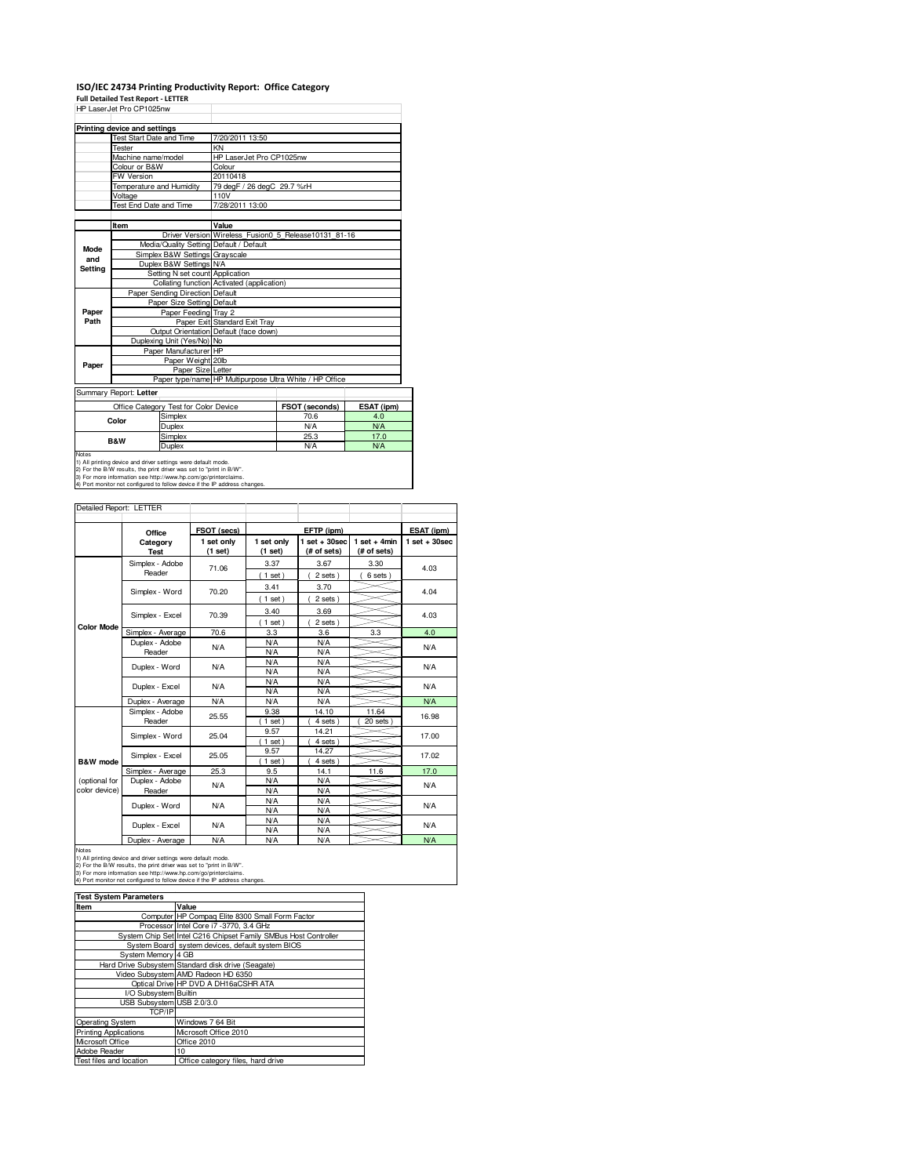## **ISO/IEC 24734 Printing Productivity Report: Office Category**

**Full Detailed Test Report - LETTER** HP LaserJet Pro CP1025nw

|                | <b>LONGINGLIBUSHIMA</b>                                 |                                                               |                                            |                                                      |            |  |
|----------------|---------------------------------------------------------|---------------------------------------------------------------|--------------------------------------------|------------------------------------------------------|------------|--|
|                | Printing device and settings                            |                                                               |                                            |                                                      |            |  |
|                | <b>Test Start Date and Time</b>                         |                                                               | 7/20/2011 13:50                            |                                                      |            |  |
|                | Tester                                                  |                                                               | KN                                         |                                                      |            |  |
|                | Machine name/model                                      |                                                               | HP LaserJet Pro CP1025nw                   |                                                      |            |  |
|                | Colour or B&W                                           |                                                               | Colour                                     |                                                      |            |  |
|                | FW Version                                              |                                                               | 20110418                                   |                                                      |            |  |
|                | Temperature and Humidity                                |                                                               | 79 degF / 26 degC 29.7 %rH                 |                                                      |            |  |
|                | Voltage                                                 |                                                               | 110V                                       |                                                      |            |  |
|                | Test End Date and Time                                  |                                                               | 7/28/2011 13:00                            |                                                      |            |  |
|                |                                                         |                                                               |                                            |                                                      |            |  |
|                | Item                                                    |                                                               | Value                                      |                                                      |            |  |
|                |                                                         |                                                               |                                            | Driver Version Wireless Fusion 05 Release10131 81-16 |            |  |
| <b>Mode</b>    |                                                         |                                                               | Media/Quality Setting Default / Default    |                                                      |            |  |
| and            |                                                         | Simplex B&W Settings Grayscale                                |                                            |                                                      |            |  |
| Setting        |                                                         | Duplex B&W Settings N/A                                       |                                            |                                                      |            |  |
|                |                                                         | Setting N set count Application                               |                                            |                                                      |            |  |
|                |                                                         |                                                               | Collating function Activated (application) |                                                      |            |  |
|                | Paper Sending Direction Default                         |                                                               |                                            |                                                      |            |  |
|                |                                                         | Paper Size Setting Default                                    |                                            |                                                      |            |  |
| Paper          |                                                         | Paper Feeding Tray 2                                          |                                            |                                                      |            |  |
| Path           |                                                         |                                                               | Paper Exit Standard Exit Tray              |                                                      |            |  |
|                |                                                         |                                                               | Output Orientation Default (face down)     |                                                      |            |  |
|                | Duplexing Unit (Yes/No) No                              |                                                               |                                            |                                                      |            |  |
|                | Paper Manufacturer HP                                   |                                                               |                                            |                                                      |            |  |
| Paper          |                                                         | Paper Weight 20lb                                             |                                            |                                                      |            |  |
|                |                                                         | Paper Size Letter                                             |                                            |                                                      |            |  |
|                | Paper type/name HP Multipurpose Ultra White / HP Office |                                                               |                                            |                                                      |            |  |
|                | Summary Report: Letter                                  |                                                               |                                            |                                                      |            |  |
|                |                                                         | Office Category Test for Color Device                         |                                            | FSOT (seconds)                                       | ESAT (ipm) |  |
|                | Color                                                   | Simplex                                                       |                                            | 70.6                                                 | 4.0        |  |
|                |                                                         | Duplex                                                        |                                            | <b>N/A</b>                                           | N/A        |  |
| <b>B&amp;W</b> |                                                         | Simplex                                                       |                                            | 25.3                                                 | 17.0       |  |
|                |                                                         | Duplex                                                        |                                            | N/A                                                  | <b>N/A</b> |  |
| Notes          |                                                         | 1) All printing device and driver settings were default mode. |                                            |                                                      |            |  |

1) All printing device and driver settings were default mode.<br>2) For the B/W results, the print driver was set to "print in B/W".<br>3) For more information see http://www.hp.com/go/printerclaims.<br>4) Port monitor not configur

## Detailed Report: LETTER

|                                | Office                    | FSOT (secs)           |                       | EFTP (ipm)                     |                               | ESAT (ipm)      |
|--------------------------------|---------------------------|-----------------------|-----------------------|--------------------------------|-------------------------------|-----------------|
|                                | Category<br><b>Test</b>   | 1 set only<br>(1 set) | 1 set only<br>(1 set) | $1$ set + 30sec<br>(# of sets) | $1$ set + 4min<br>(# of sets) | $1$ set + 30sec |
|                                | Simplex - Adobe<br>Reader | 71.06                 | 3.37<br>$1$ set)      | 3.67<br>2 sets)                | 3.30<br>6 sets)               | 4.03            |
|                                | Simplex - Word            | 70.20                 | 3.41<br>$1$ set)      | 3.70<br>2 sets)                |                               | 4.04            |
|                                | Simplex - Excel           | 70.39                 | 3.40<br>$1$ set)      | 3.69<br>2 sets)                |                               | 4.03            |
| <b>Color Mode</b>              | Simplex - Average         | 70.6                  | 3.3                   | 3.6                            | 3.3                           | 4.0             |
|                                | Duplex - Adobe<br>Reader  | N/A                   | N/A<br>N/A            | <b>N/A</b><br>N/A              |                               | N/A             |
|                                | Duplex - Word             | <b>N/A</b>            | N/A<br>N/A            | <b>N/A</b><br><b>N/A</b>       |                               | N/A             |
|                                | Duplex - Excel            | N/A                   | N/A<br>N/A            | <b>N/A</b><br><b>N/A</b>       |                               | N/A             |
|                                | Duplex - Average          | N/A                   | N/A                   | N/A                            |                               | N/A             |
|                                | Simplex - Adobe<br>Reader | 25.55                 | 9.38<br>$1$ set)      | 14.10<br>4 sets                | 11.64<br>20 sets              | 16.98           |
|                                | Simplex - Word            | 25.04                 | 9.57<br>$1$ set)      | 14.21<br>4 sets                |                               | 17.00           |
| B&W mode                       | Simplex - Excel           | 25.05                 | 9.57<br>$1$ set)      | 14.27<br>4 sets                |                               | 17.02           |
|                                | Simplex - Average         | 25.3                  | 9.5                   | 14.1                           | 11.6                          | 17.0            |
| (optional for<br>color device) | Duplex - Adobe<br>Reader  | N/A                   | N/A<br>N/A            | <b>N/A</b><br><b>N/A</b>       |                               | <b>N/A</b>      |
|                                | Duplex - Word             | <b>N/A</b>            | N/A<br>N/A            | N/A<br><b>N/A</b>              |                               | <b>N/A</b>      |
|                                | Duplex - Excel            | <b>N/A</b>            | N/A<br>N/A            | <b>N/A</b><br>N/A              |                               | <b>N/A</b>      |
|                                | Duplex - Average          | <b>N/A</b>            | N/A                   | N/A                            |                               | <b>N/A</b>      |

Notes<br>1) All printing device and driver settings were default mode.<br>2) For the B/W results, the print driver was set to "print in B/W".<br>3) For more information see thtp://www.hp.com/go/printerclaims.<br>4) Port monitor not co

| <b>Test System Parameters</b> |                                                                 |  |  |  |
|-------------------------------|-----------------------------------------------------------------|--|--|--|
| Item                          | Value                                                           |  |  |  |
|                               | Computer HP Compag Elite 8300 Small Form Factor                 |  |  |  |
|                               | Processor Intel Core i7 -3770, 3.4 GHz                          |  |  |  |
|                               | System Chip Set Intel C216 Chipset Family SMBus Host Controller |  |  |  |
|                               | System Board system devices, default system BIOS                |  |  |  |
| System Memory 4 GB            |                                                                 |  |  |  |
|                               | Hard Drive Subsystem Standard disk drive (Seagate)              |  |  |  |
|                               | Video Subsystem AMD Radeon HD 6350                              |  |  |  |
|                               | Optical Drive HP DVD A DH16aCSHR ATA                            |  |  |  |
| I/O Subsystem Builtin         |                                                                 |  |  |  |
| USB Subsystem USB 2.0/3.0     |                                                                 |  |  |  |
| TCP/IP                        |                                                                 |  |  |  |
| Operating System              | Windows 7 64 Bit                                                |  |  |  |
| <b>Printing Applications</b>  | Microsoft Office 2010                                           |  |  |  |
| Microsoft Office              | Office 2010                                                     |  |  |  |
| Adobe Reader                  | 10                                                              |  |  |  |
| Test files and location       | Office category files, hard drive                               |  |  |  |